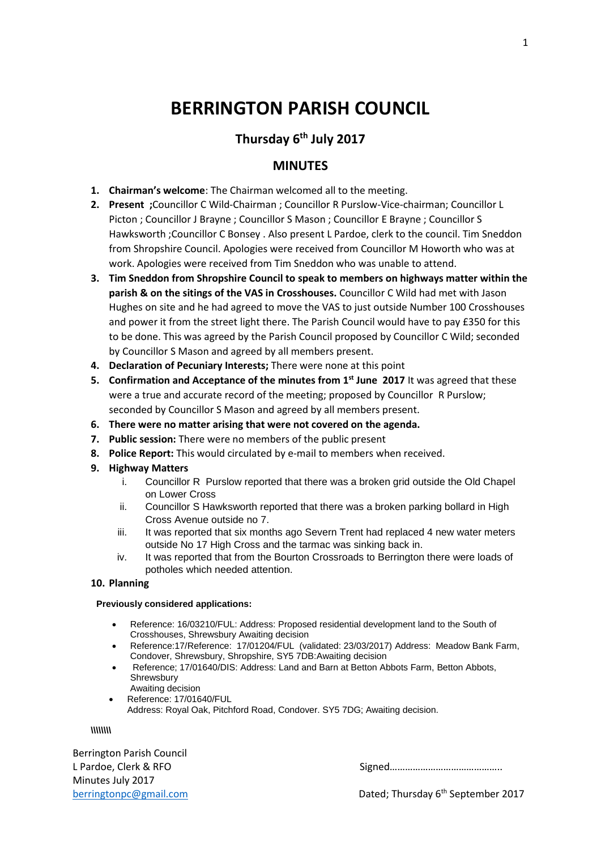# **BERRINGTON PARISH COUNCIL**

# **Thursday 6th July 2017**

## **MINUTES**

- **1. Chairman's welcome**: The Chairman welcomed all to the meeting.
- **2. Present ;**Councillor C Wild-Chairman ; Councillor R Purslow-Vice-chairman; Councillor L Picton ; Councillor J Brayne ; Councillor S Mason ; Councillor E Brayne ; Councillor S Hawksworth ;Councillor C Bonsey . Also present L Pardoe, clerk to the council. Tim Sneddon from Shropshire Council. Apologies were received from Councillor M Howorth who was at work. Apologies were received from Tim Sneddon who was unable to attend.
- **3. Tim Sneddon from Shropshire Council to speak to members on highways matter within the parish & on the sitings of the VAS in Crosshouses.** Councillor C Wild had met with Jason Hughes on site and he had agreed to move the VAS to just outside Number 100 Crosshouses and power it from the street light there. The Parish Council would have to pay £350 for this to be done. This was agreed by the Parish Council proposed by Councillor C Wild; seconded by Councillor S Mason and agreed by all members present.
- **4. Declaration of Pecuniary Interests;** There were none at this point
- **5. Confirmation and Acceptance of the minutes from 1st June 2017** It was agreed that these were a true and accurate record of the meeting; proposed by Councillor R Purslow; seconded by Councillor S Mason and agreed by all members present.
- **6. There were no matter arising that were not covered on the agenda.**
- **7. Public session:** There were no members of the public present
- **8. Police Report:** This would circulated by e-mail to members when received.
- **9. Highway Matters**
	- i. Councillor R Purslow reported that there was a broken grid outside the Old Chapel on Lower Cross
	- ii. Councillor S Hawksworth reported that there was a broken parking bollard in High Cross Avenue outside no 7.
	- iii. It was reported that six months ago Severn Trent had replaced 4 new water meters outside No 17 High Cross and the tarmac was sinking back in.
	- iv. It was reported that from the Bourton Crossroads to Berrington there were loads of potholes which needed attention.

### **10. Planning**

#### **Previously considered applications:**

- Reference: 16/03210/FUL: Address: Proposed residential development land to the South of Crosshouses, Shrewsbury Awaiting decision
- Reference:17/Reference: 17/01204/FUL (validated: 23/03/2017) Address: Meadow Bank Farm, Condover, Shrewsbury, Shropshire, SY5 7DB:Awaiting decision
- Reference; 17/01640/DIS: Address: Land and Barn at Betton Abbots Farm, Betton Abbots, Shrewsbury Awaiting decision
- Reference: 17/01640/FUL Address: Royal Oak, Pitchford Road, Condover. SY5 7DG; Awaiting decision.

**\\\\\\\\**

Berrington Parish Council Minutes July 2017

L Pardoe, Clerk & RFO Signed……………………………………..

[berringtonpc@gmail.com](mailto:berringtonpc@gmail.com) **Dated**; Thursday 6<sup>th</sup> September 2017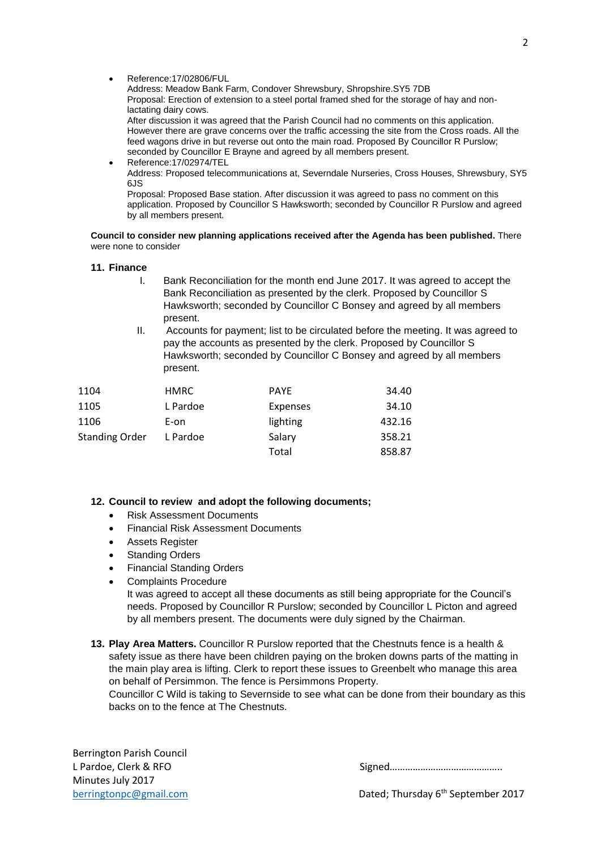Address: Meadow Bank Farm, Condover Shrewsbury, Shropshire.SY5 7DB Proposal: Erection of extension to a steel portal framed shed for the storage of hay and nonlactating dairy cows.

After discussion it was agreed that the Parish Council had no comments on this application. However there are grave concerns over the traffic accessing the site from the Cross roads. All the feed wagons drive in but reverse out onto the main road. Proposed By Councillor R Purslow; seconded by Councillor E Brayne and agreed by all members present.

 Reference:17/02974/TEL Address: Proposed telecommunications at, Severndale Nurseries, Cross Houses, Shrewsbury, SY5 6JS

Proposal: Proposed Base station. After discussion it was agreed to pass no comment on this application. Proposed by Councillor S Hawksworth; seconded by Councillor R Purslow and agreed by all members present.

#### **Council to consider new planning applications received after the Agenda has been published.** There were none to consider

#### **11. Finance**

- I. Bank Reconciliation for the month end June 2017. It was agreed to accept the Bank Reconciliation as presented by the clerk. Proposed by Councillor S Hawksworth; seconded by Councillor C Bonsey and agreed by all members present.
- II. Accounts for payment; list to be circulated before the meeting. It was agreed to pay the accounts as presented by the clerk. Proposed by Councillor S Hawksworth; seconded by Councillor C Bonsey and agreed by all members present.

| 1104                  | <b>HMRC</b> | <b>PAYE</b> | 34.40  |
|-----------------------|-------------|-------------|--------|
| 1105                  | L Pardoe    | Expenses    | 34.10  |
| 1106                  | E-on        | lighting    | 432.16 |
| <b>Standing Order</b> | L Pardoe    | Salary      | 358.21 |
|                       |             | Total       | 858.87 |

## **12. Council to review and adopt the following documents;**

- Risk Assessment Documents
- Financial Risk Assessment Documents
- Assets Register
- Standing Orders
- Financial Standing Orders
- Complaints Procedure

It was agreed to accept all these documents as still being appropriate for the Council's needs. Proposed by Councillor R Purslow; seconded by Councillor L Picton and agreed by all members present. The documents were duly signed by the Chairman.

**13. Play Area Matters.** Councillor R Purslow reported that the Chestnuts fence is a health & safety issue as there have been children paying on the broken downs parts of the matting in the main play area is lifting. Clerk to report these issues to Greenbelt who manage this area on behalf of Persimmon. The fence is Persimmons Property.

Councillor C Wild is taking to Severnside to see what can be done from their boundary as this backs on to the fence at The Chestnuts.

Berrington Parish Council L Pardoe, Clerk & RFO Minutes July 2017

[berringtonpc@gmail.com](mailto:berringtonpc@gmail.com) **Dated**; Thursday 6<sup>th</sup> September 2017